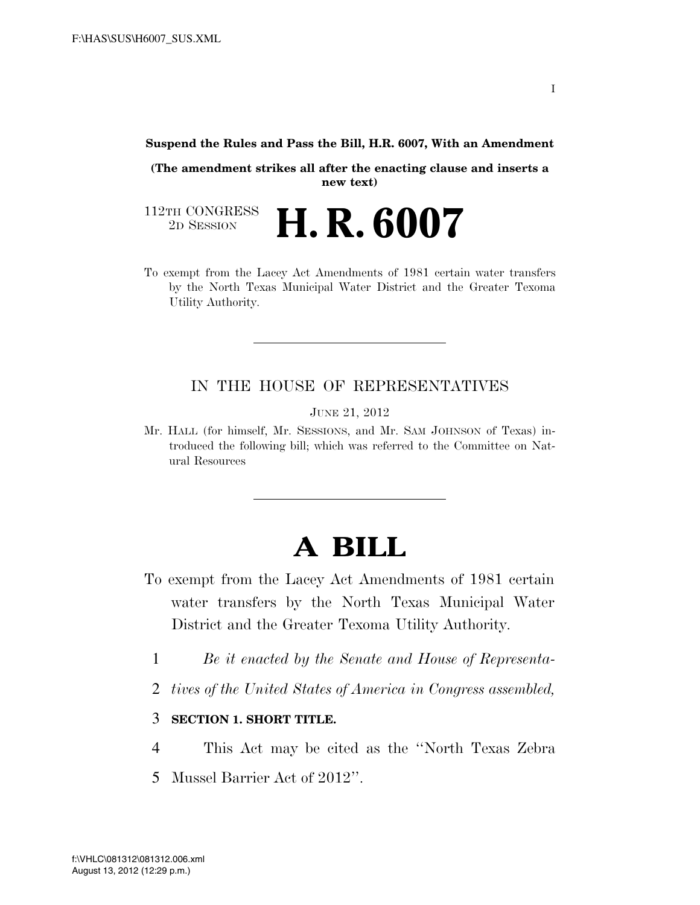#### **Suspend the Rules and Pass the Bill, H.R. 6007, With an Amendment**

**(The amendment strikes all after the enacting clause and inserts a new text)** 

112TH CONGRESS<br>2D SESSION 2D SESSION **H. R. 6007**

To exempt from the Lacey Act Amendments of 1981 certain water transfers by the North Texas Municipal Water District and the Greater Texoma Utility Authority.

### IN THE HOUSE OF REPRESENTATIVES

JUNE 21, 2012

Mr. HALL (for himself, Mr. SESSIONS, and Mr. SAM JOHNSON of Texas) introduced the following bill; which was referred to the Committee on Natural Resources

# **A BILL**

- To exempt from the Lacey Act Amendments of 1981 certain water transfers by the North Texas Municipal Water District and the Greater Texoma Utility Authority.
	- 1 *Be it enacted by the Senate and House of Representa-*
	- 2 *tives of the United States of America in Congress assembled,*

### 3 **SECTION 1. SHORT TITLE.**

- 4 This Act may be cited as the ''North Texas Zebra
- 5 Mussel Barrier Act of 2012''.